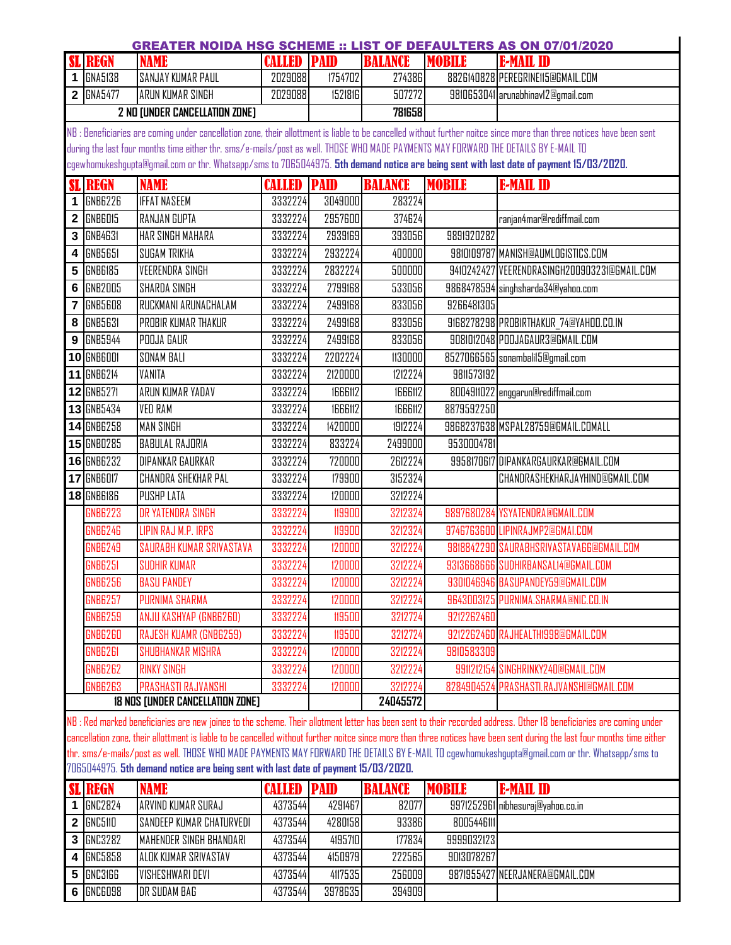|                                                                                                                                                                           | <b>GREATER NOIDA HSG SCHEME :: LIST OF DEFAULTERS AS ON 07/01/2020</b>                                                                                                                                                                |                                                                                                                                     |                          |                        |                         |               |                                                                                                                                                                       |  |  |  |
|---------------------------------------------------------------------------------------------------------------------------------------------------------------------------|---------------------------------------------------------------------------------------------------------------------------------------------------------------------------------------------------------------------------------------|-------------------------------------------------------------------------------------------------------------------------------------|--------------------------|------------------------|-------------------------|---------------|-----------------------------------------------------------------------------------------------------------------------------------------------------------------------|--|--|--|
|                                                                                                                                                                           | REGN                                                                                                                                                                                                                                  | <b>NAME</b>                                                                                                                         | <b>CALLED</b>            | <b>PAID</b>            | <b>BALANCE</b>          | <b>MOBILE</b> | <b>E-MAIL ID</b>                                                                                                                                                      |  |  |  |
|                                                                                                                                                                           | 1 GNA5138                                                                                                                                                                                                                             | <b>SANJAY KUMAR PAUL</b>                                                                                                            | 2029088                  | 1754702                | 274386                  |               | 8826140828 PEREGRINE115@GMAIL.COM                                                                                                                                     |  |  |  |
|                                                                                                                                                                           | 2 GNA5477                                                                                                                                                                                                                             | ARUN KUMAR SINGH                                                                                                                    | 2029088                  | 1521816                | 507272                  |               | 9810653041 arunabhinav12@gmail.com                                                                                                                                    |  |  |  |
|                                                                                                                                                                           |                                                                                                                                                                                                                                       | 2 NO [UNDER CANCELLATION ZONE]                                                                                                      |                          |                        | 781658                  |               |                                                                                                                                                                       |  |  |  |
|                                                                                                                                                                           |                                                                                                                                                                                                                                       |                                                                                                                                     |                          |                        |                         |               | NB : Beneficiaries are coming under cancellation zone, their allottment is liable to be cancelled without further noitce since more than three notices have been sent |  |  |  |
|                                                                                                                                                                           |                                                                                                                                                                                                                                       | during the last four months time either thr. sms/e-mails/post as well. THOSE WHO MADE PAYMENTS MAY FORWARD THE DETAILS BY E-MAIL TO |                          |                        |                         |               |                                                                                                                                                                       |  |  |  |
|                                                                                                                                                                           | cgewhomukeshgupta@gmail.com or thr. Whatsapp/sms to 7065044975. <b>5th demand notice are being sent with last date of payment 15/03/2020.</b>                                                                                         |                                                                                                                                     |                          |                        |                         |               |                                                                                                                                                                       |  |  |  |
|                                                                                                                                                                           | <b>SL REGN</b>                                                                                                                                                                                                                        | <b>NAME</b>                                                                                                                         | <b>CALLED</b>            | <b>PAID</b>            | <b>BALANCE</b>          | <b>MOBILE</b> | <b>E-MAIL ID</b>                                                                                                                                                      |  |  |  |
|                                                                                                                                                                           | <b>1 GNB6226</b>                                                                                                                                                                                                                      | <b>IFFAT NASEEM</b>                                                                                                                 | 3332224                  | 3049000                | 283224                  |               |                                                                                                                                                                       |  |  |  |
| $\mathbf 2$                                                                                                                                                               | <b>GNBGDI5</b>                                                                                                                                                                                                                        | <b>RANJAN GUPTA</b>                                                                                                                 | 3332224                  | 2957600                | 374624                  |               | ranjan4mar@rediffmail.com                                                                                                                                             |  |  |  |
|                                                                                                                                                                           | 3 GNB4631                                                                                                                                                                                                                             | HAR SINGH MAHARA                                                                                                                    | 3332224                  | 2939169                | 393056                  | 9891920282    |                                                                                                                                                                       |  |  |  |
| $\overline{\mathbf{4}}$                                                                                                                                                   | <b>GNB5651</b>                                                                                                                                                                                                                        | SUGAM TRIKHA                                                                                                                        | 3332224                  | 2932224                | 400000                  |               | 9810109787 MANISH@AUML0GISTICS.COM                                                                                                                                    |  |  |  |
| 5                                                                                                                                                                         | GNB6185                                                                                                                                                                                                                               | <b>VEERENDRA SINGH</b>                                                                                                              | 3332224                  | 2832224                | 500000                  |               | 9410242427 VEERENDRASINGH200903231@GMAIL.COM                                                                                                                          |  |  |  |
| 6                                                                                                                                                                         | <b>GNB2005</b>                                                                                                                                                                                                                        | SHARDA SINGH                                                                                                                        | 3332224                  | 2799168                | 533056                  |               | 9868478594 singhsharda34@yahoo.com                                                                                                                                    |  |  |  |
| $\overline{\mathbf{r}}$                                                                                                                                                   | <b>GNB5608</b>                                                                                                                                                                                                                        | RUCKMANI ARUNACHALAM                                                                                                                | 3332224                  | 2499168                | 833056                  | 9266481305    |                                                                                                                                                                       |  |  |  |
| 8                                                                                                                                                                         | <b>GNB5631</b>                                                                                                                                                                                                                        | PROBIR KUMAR THAKUR                                                                                                                 | 3332224                  | 2499168                | 833056                  |               | 9168278298 PROBIRTHAKUR_74@YAHOO.CO.IN                                                                                                                                |  |  |  |
| 9                                                                                                                                                                         | <b>GNB5944</b>                                                                                                                                                                                                                        | POOJA GAUR                                                                                                                          | 3332224                  | 2499168                | 833056                  |               | 9081012048 POOJAGAUR3@GMAIL.COM                                                                                                                                       |  |  |  |
|                                                                                                                                                                           | <b>10 GNB6001</b>                                                                                                                                                                                                                     | <b>SONAM BALI</b>                                                                                                                   | 3332224                  | 2202224                | 1130000                 |               | 8527066565 sonambali15@gmail.com                                                                                                                                      |  |  |  |
|                                                                                                                                                                           | 11 GNB6214                                                                                                                                                                                                                            | VANITA                                                                                                                              | 3332224                  | 2120000                | 1212224                 | 9811573192    |                                                                                                                                                                       |  |  |  |
|                                                                                                                                                                           | 12 GNB5271                                                                                                                                                                                                                            | ARUN KUMAR YADAV                                                                                                                    | 3332224                  | 1666112                | 1666112                 |               | 8004911022 enggarun@rediffmail.com                                                                                                                                    |  |  |  |
|                                                                                                                                                                           | 13 GNB5434                                                                                                                                                                                                                            | <b>VED RAM</b>                                                                                                                      | 3332224                  | 1666112                | 1666112                 | 8879592250    |                                                                                                                                                                       |  |  |  |
|                                                                                                                                                                           | 14 GNB6258                                                                                                                                                                                                                            | <b>MAN SINGH</b>                                                                                                                    | 3332224                  | 1420000                | 1912224                 |               | 9868237638 MSPAL28759@GMAIL.COMALL                                                                                                                                    |  |  |  |
|                                                                                                                                                                           | <b>15 GNB0285</b>                                                                                                                                                                                                                     | <b>BABULAL RAJORIA</b>                                                                                                              | 3332224                  | 833224                 | 2499000                 | 9530004781    |                                                                                                                                                                       |  |  |  |
|                                                                                                                                                                           | 16 GNB6232                                                                                                                                                                                                                            | DIPANKAR GAURKAR                                                                                                                    | 3332224                  | 720000                 | 2612224                 |               | 9958170617 DIPANKARGAURKAR@GMAIL.COM                                                                                                                                  |  |  |  |
|                                                                                                                                                                           | <b>17 GNB6017</b>                                                                                                                                                                                                                     | CHANDRA SHEKHAR PAL                                                                                                                 | 3332224                  | 179900                 | 3152324                 |               | CHANDRASHEKHARJAYHIND@GMAIL.COM                                                                                                                                       |  |  |  |
|                                                                                                                                                                           | <b>18 GNB6186</b>                                                                                                                                                                                                                     | <b>PUSHP LATA</b>                                                                                                                   | 3332224                  | 120000                 | 3212224                 |               |                                                                                                                                                                       |  |  |  |
|                                                                                                                                                                           | <b>GNB6223</b>                                                                                                                                                                                                                        | DR YATENDRA SINGH                                                                                                                   | 3332224                  | 119900                 | 3212324                 |               | 9897680284 YSYATENDRA@GMAIL.COM                                                                                                                                       |  |  |  |
|                                                                                                                                                                           | <b>GNB6246</b>                                                                                                                                                                                                                        | LIPIN RAJ M.P. IRPS                                                                                                                 | 3332224                  | 119900                 | 3212324                 |               | 9746763600 LIPINRAJMP2@GMAI.COM                                                                                                                                       |  |  |  |
|                                                                                                                                                                           | <b>GNB6249</b>                                                                                                                                                                                                                        | <b>SAURABH KUMAR SRIVASTAVA</b>                                                                                                     | 3332224                  | 120000                 | 3212224                 |               | 9818842290 SAURABHSRIVASTAVAGG@GMAIL.COM                                                                                                                              |  |  |  |
|                                                                                                                                                                           | <b>GNB6251</b>                                                                                                                                                                                                                        | <b>SUDHIR KUMAR</b>                                                                                                                 | 3332224                  | 120000                 | 3212224                 |               | 9313668666 SUDHIRBANSAL14@GMAIL.COM                                                                                                                                   |  |  |  |
|                                                                                                                                                                           | <b>GNB6256</b>                                                                                                                                                                                                                        | <b>BASU PANDEY</b>                                                                                                                  | 3332224                  | 120000                 | 3212224                 |               | 9301046946 BASUPANDEY59@GMAIL.COM                                                                                                                                     |  |  |  |
|                                                                                                                                                                           | <b>GNBG257</b>                                                                                                                                                                                                                        | <b>PURNIMA SHARMA</b>                                                                                                               | 3332224                  | 120000                 | 3212224                 |               | 9643003125 PURNIMA.SHARMA@NIC.CO.IN                                                                                                                                   |  |  |  |
|                                                                                                                                                                           | <b>GNB6259</b>                                                                                                                                                                                                                        | ANJU KASHYAP (GNB6260)                                                                                                              | 3332224                  | 119500                 | 3212724                 | 9212262460    |                                                                                                                                                                       |  |  |  |
|                                                                                                                                                                           | <b>GNB6260</b>                                                                                                                                                                                                                        | RAJESH KUAMR (GNB6259)                                                                                                              | 3332224                  | 119500                 | 3212724                 |               | 9212262460 RAJHEALTH1998@GMAIL.COM                                                                                                                                    |  |  |  |
|                                                                                                                                                                           | GNB6261                                                                                                                                                                                                                               | <b>SHUBHANKAR MISHRA</b>                                                                                                            | 3332224                  | 120000                 | 3212224                 | 9810583309    |                                                                                                                                                                       |  |  |  |
|                                                                                                                                                                           | <b>GNB6262</b>                                                                                                                                                                                                                        | <b>RINKY SINGH</b>                                                                                                                  | 3332224                  | 120000                 | 3212224                 |               | 9911212154 SINGHRINKY240@GMAIL.COM                                                                                                                                    |  |  |  |
|                                                                                                                                                                           | <b>GNB6263</b>                                                                                                                                                                                                                        | <b>PRASHASTI RAJVANSHI</b>                                                                                                          | 3332224                  | 120000                 | 3212224                 |               | 8284904524 PRASHASTI.RAJVANSHI@GMAIL.COM                                                                                                                              |  |  |  |
|                                                                                                                                                                           |                                                                                                                                                                                                                                       | <b>18 NDS [UNDER CANCELLATION ZONE]</b>                                                                                             |                          |                        | 24045572                |               |                                                                                                                                                                       |  |  |  |
|                                                                                                                                                                           | NB : Red marked beneficiaries are new joinee to the scheme. Their allotment letter has been sent to their recorded address. Other 18 beneficiaries are coming under                                                                   |                                                                                                                                     |                          |                        |                         |               |                                                                                                                                                                       |  |  |  |
| cancellation zone, their allottment is liable to be cancelled without further noitce since more than three notices have been sent during the last four months time either |                                                                                                                                                                                                                                       |                                                                                                                                     |                          |                        |                         |               |                                                                                                                                                                       |  |  |  |
|                                                                                                                                                                           | thr. sms/e-mails/post as well. THOSE WHO MADE PAYMENTS MAY FORWARD THE DETAILS BY E-MAIL TO cgewhomukeshgupta@gmail.com or thr. Whatsapp/sms to<br>7065044975. 5th demand notice are being sent with last date of payment 15/03/2020. |                                                                                                                                     |                          |                        |                         |               |                                                                                                                                                                       |  |  |  |
| <b>SL REGN</b>                                                                                                                                                            |                                                                                                                                                                                                                                       |                                                                                                                                     |                          |                        |                         |               |                                                                                                                                                                       |  |  |  |
|                                                                                                                                                                           | 1 GNC2824                                                                                                                                                                                                                             | <b>NAME</b><br>ARVIND KUMAR SURAJ                                                                                                   | <b>CALLED</b><br>4373544 | <b>PAID</b><br>4291467 | <b>BALANCE</b><br>82077 | <b>MOBILE</b> | <b>E-MAIL ID</b><br>9971252961 nibhasuraj@yahoo.co.in                                                                                                                 |  |  |  |
|                                                                                                                                                                           | <b>2 GNC5110</b>                                                                                                                                                                                                                      | SANDEEP KUMAR CHATURVEDI                                                                                                            | 4373544                  | 4280158                | 93386                   | 8005446111    |                                                                                                                                                                       |  |  |  |
|                                                                                                                                                                           | 3 GNC3282                                                                                                                                                                                                                             | <b>MAHENDER SINGH BHANDARI</b>                                                                                                      | 4373544                  | 4195710                | 177834                  | 9999032123    |                                                                                                                                                                       |  |  |  |
| 4                                                                                                                                                                         | <b>GNC5858</b>                                                                                                                                                                                                                        | ALOK KUMAR SRIVASTAV                                                                                                                | 4373544                  | 4150979                | 222565                  | 9013078267    |                                                                                                                                                                       |  |  |  |
| 5                                                                                                                                                                         | <b>GNC3166</b>                                                                                                                                                                                                                        | VISHESHWARI DEVI                                                                                                                    | 4373544                  | 4117535                | 256009                  |               | 9871955427 NEERJANERA@GMAIL.COM                                                                                                                                       |  |  |  |
| 6                                                                                                                                                                         |                                                                                                                                                                                                                                       |                                                                                                                                     |                          |                        |                         |               |                                                                                                                                                                       |  |  |  |
|                                                                                                                                                                           | <b>GNC6098</b>                                                                                                                                                                                                                        | DR SUDAM BAG                                                                                                                        | 4373544                  | 3978635                | 394909                  |               |                                                                                                                                                                       |  |  |  |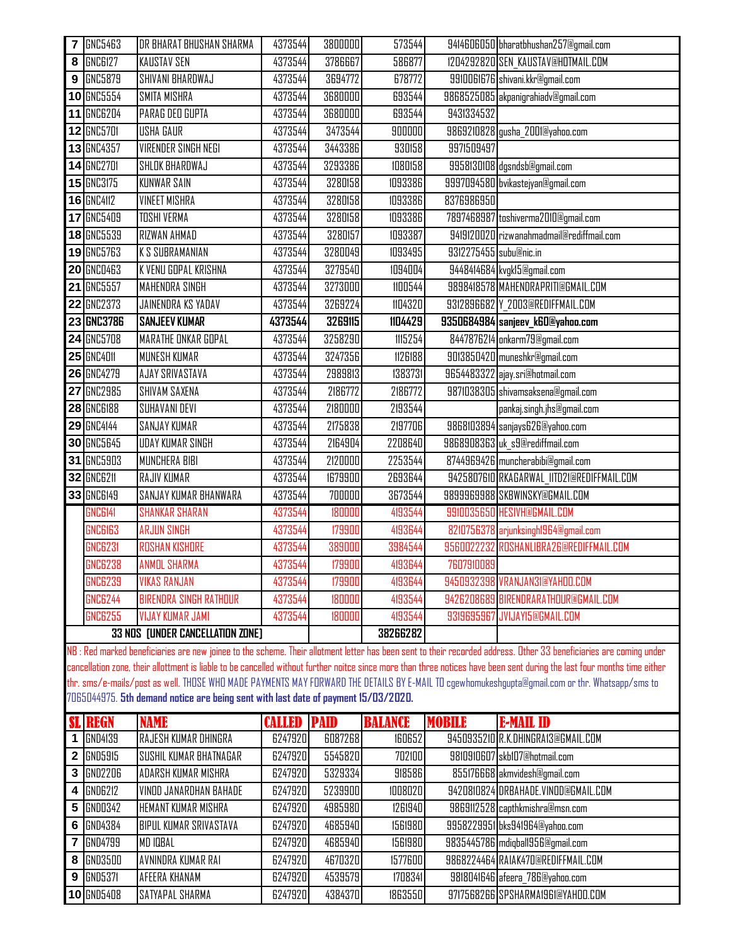| $\overline{7}$ | <b>GNC5463</b>                                                                                                                                                                                                                                                                                                                                                                                                                                                                                                                                                                                             | DR BHARAT BHUSHAN SHARMA         | 4373544 | 3800000        | 573544         |                        | 9414606050 bharatbhushan257@gmail.com      |  |
|----------------|------------------------------------------------------------------------------------------------------------------------------------------------------------------------------------------------------------------------------------------------------------------------------------------------------------------------------------------------------------------------------------------------------------------------------------------------------------------------------------------------------------------------------------------------------------------------------------------------------------|----------------------------------|---------|----------------|----------------|------------------------|--------------------------------------------|--|
| 8              | GNC6127                                                                                                                                                                                                                                                                                                                                                                                                                                                                                                                                                                                                    | <b>KAUSTAV SEN</b>               | 4373544 | 3786667        | 586877         |                        | 1204292820 SEN KAUSTAV@HOTMAIL.COM         |  |
| 9              | <b>GNC5879</b>                                                                                                                                                                                                                                                                                                                                                                                                                                                                                                                                                                                             | SHIVANI BHARDWAJ                 | 4373544 | 3694772        | 678772         |                        | 9910061676 shivani.kkr@gmail.com           |  |
|                | 10 GNC5554                                                                                                                                                                                                                                                                                                                                                                                                                                                                                                                                                                                                 | SMITA MISHRA                     | 4373544 | 3680000        | 693544         |                        | 9868525085 akpanigrahiadv@gmail.com        |  |
|                | <b>11 GNC6204</b>                                                                                                                                                                                                                                                                                                                                                                                                                                                                                                                                                                                          | PARAG DEO GUPTA                  | 4373544 | 3680000        | 693544         | 9431334532             |                                            |  |
|                | 12 <b>GNC5701</b>                                                                                                                                                                                                                                                                                                                                                                                                                                                                                                                                                                                          | <b>USHA GAUR</b>                 | 4373544 | 3473544        | 900000         |                        | 9869210828 gusha_2001@yahoo.com            |  |
|                | 13 GNC4357                                                                                                                                                                                                                                                                                                                                                                                                                                                                                                                                                                                                 | <b>VIRENDER SINGH NEGI</b>       | 4373544 | 3443386        | 930158         | 9971509497             |                                            |  |
|                | 14 GNC2701                                                                                                                                                                                                                                                                                                                                                                                                                                                                                                                                                                                                 | SHLOK BHARDWAJ                   | 4373544 | 3293386        | 1080158        |                        | 9958130108 dgsndsb@gmail.com               |  |
|                | 15 GNC3175                                                                                                                                                                                                                                                                                                                                                                                                                                                                                                                                                                                                 | <b>KUNWAR SAIN</b>               | 4373544 | 3280158        | 1093386        |                        | 9997094580 bvikastejyan@gmail.com          |  |
|                | 16 GNC4112                                                                                                                                                                                                                                                                                                                                                                                                                                                                                                                                                                                                 | <b>VINEET MISHRA</b>             | 4373544 | 3280158        | 1093386        | 8376986950             |                                            |  |
|                | <b>17 GNC5409</b>                                                                                                                                                                                                                                                                                                                                                                                                                                                                                                                                                                                          | <b>TOSHI VERMA</b>               | 4373544 | 3280158        | 1093386        |                        | 7897468987 toshiverma2010@gmail.com        |  |
|                | 18 GNC5539                                                                                                                                                                                                                                                                                                                                                                                                                                                                                                                                                                                                 | RIZWAN AHMAD                     | 4373544 | 3280157        | 1093387        |                        | 9419120020 rizwanahmadmail@rediffmail.com  |  |
|                | 19 GNC5763                                                                                                                                                                                                                                                                                                                                                                                                                                                                                                                                                                                                 | <b>K S SUBRAMANIAN</b>           | 4373544 | 3280049        | 1093495        | 9312275455 subu@nic.in |                                            |  |
|                | <b>20 GNC0463</b>                                                                                                                                                                                                                                                                                                                                                                                                                                                                                                                                                                                          | K VENU GOPAL KRISHNA             | 4373544 | 3279540        | 1094004        |                        | 9448414684 kvgk15@gmail.com                |  |
|                | <b>21 GNC5557</b>                                                                                                                                                                                                                                                                                                                                                                                                                                                                                                                                                                                          | <b>MAHENDRA SINGH</b>            | 4373544 | 3273000        | 1100544        |                        | 9898418578 MAHENDRAPRITI@GMAIL.COM         |  |
|                | <b>22 GNC2373</b>                                                                                                                                                                                                                                                                                                                                                                                                                                                                                                                                                                                          | JAINENDRA KS YADAV               | 4373544 | 3269224        | 1104320        |                        | 9312896682 Y 2003@REDIFFMAIL.COM           |  |
|                | <b>23 GNC3786</b>                                                                                                                                                                                                                                                                                                                                                                                                                                                                                                                                                                                          | <b>SANJEEV KUMAR</b>             | 4373544 | 3269115        | 1104429        |                        | 9350684984 sanjeev_k60@yahoo.com           |  |
|                | <b>24 GNC5708</b>                                                                                                                                                                                                                                                                                                                                                                                                                                                                                                                                                                                          | <b>MARATHE ONKAR GOPAL</b>       | 4373544 | 3258290        | 1115254        |                        | 8447876214 onkarm79@gmail.com              |  |
|                | <b>25 GNC4011</b>                                                                                                                                                                                                                                                                                                                                                                                                                                                                                                                                                                                          | <b>MUNESH KUMAR</b>              | 4373544 | 3247356        | 1126188        |                        | 9013850420 muneshkr@gmail.com              |  |
|                | 26 GNC4279                                                                                                                                                                                                                                                                                                                                                                                                                                                                                                                                                                                                 | <b>AJAY SRIVASTAVA</b>           | 4373544 | 2989813        | 1383731        |                        | 9654483322 ajay.sri@hotmail.com            |  |
|                | <b>27 GNC2985</b>                                                                                                                                                                                                                                                                                                                                                                                                                                                                                                                                                                                          | <b>SHIVAM SAXENA</b>             | 4373544 | 2186772        | 2186772        |                        | 9871038305 shivamsaksena@gmail.com         |  |
|                | <b>28 GNC6188</b>                                                                                                                                                                                                                                                                                                                                                                                                                                                                                                                                                                                          | SUHAVANI DEVI                    | 4373544 | 2180000        | 2193544        |                        | pankaj.singh.jhs@gmail.com                 |  |
|                | <b>29 GNC4144</b>                                                                                                                                                                                                                                                                                                                                                                                                                                                                                                                                                                                          | <b>SANJAY KUMAR</b>              | 4373544 | 2175838        | 2197706        |                        | 9868103894 sanjays626@yahoo.com            |  |
|                | 30 GNC5645                                                                                                                                                                                                                                                                                                                                                                                                                                                                                                                                                                                                 | <b>UDAY KUMAR SINGH</b>          | 4373544 | 2164904        | 2208640        |                        | 9868908363 uk_s9@rediffmail.com            |  |
|                | 31 GNC5903                                                                                                                                                                                                                                                                                                                                                                                                                                                                                                                                                                                                 | <b>MUNCHERA BIBI</b>             | 4373544 | 2120000        | 2253544        |                        | 8744969426 muncherabibi@gmail.com          |  |
|                | <b>32 GNC6211</b>                                                                                                                                                                                                                                                                                                                                                                                                                                                                                                                                                                                          | RAJIV KUMAR                      | 4373544 | 1679900        | 2693644        |                        | 9425807610 RKAGARWAL IITD21@REDIFFMAIL.COM |  |
|                | 33 GNC6149                                                                                                                                                                                                                                                                                                                                                                                                                                                                                                                                                                                                 | SANJAY KUMAR BHANWARA            | 4373544 | 700000         | 3673544        |                        | 9899969988 SKBWINSKY@GMAIL.COM             |  |
|                | GNC6141                                                                                                                                                                                                                                                                                                                                                                                                                                                                                                                                                                                                    | <b>SHANKAR SHARAN</b>            | 4373544 | 180000         | 4193544        |                        | 9910035650 HESIVH@GMAIL.COM                |  |
|                | GNC6163                                                                                                                                                                                                                                                                                                                                                                                                                                                                                                                                                                                                    | <b>ARJUN SINGH</b>               | 4373544 | 179900         | 4193644        |                        | 8210756378 arjunksingh1964@gmail.com       |  |
|                | GNC6231                                                                                                                                                                                                                                                                                                                                                                                                                                                                                                                                                                                                    | <b>ROSHAN KISHORE</b>            | 4373544 | 389000         | 3984544        |                        | 9560022232 ROSHANLIBRA26@REDIFFMAIL.COM    |  |
|                | <b>GNC6238</b>                                                                                                                                                                                                                                                                                                                                                                                                                                                                                                                                                                                             | <b>ANMOL SHARMA</b>              | 4373544 | 179900         | 4193644        | 7607910089             |                                            |  |
|                | <b>GNC6239</b>                                                                                                                                                                                                                                                                                                                                                                                                                                                                                                                                                                                             | <b>VIKAS RANJAN</b>              | 4373544 | 179900         | 4193644        |                        | 9450932398 VRANJAN31@YAHOO.COM             |  |
|                | <b>GNC6244</b>                                                                                                                                                                                                                                                                                                                                                                                                                                                                                                                                                                                             | <b>BIRENDRA SINGH RATHOUR</b>    | 4373544 | 180000         | 4193544        |                        | 9426208689 BIRENDRARATHOUR@GMAIL.COM       |  |
|                | <b>GNC6255</b>                                                                                                                                                                                                                                                                                                                                                                                                                                                                                                                                                                                             | <b>VIJAY KUMAR JAMI</b>          | 4373544 | 180000         | 4193544        |                        | 9319695967 JVIJAY15@GMAIL.COM              |  |
|                |                                                                                                                                                                                                                                                                                                                                                                                                                                                                                                                                                                                                            | 33 NOS [UNDER CANCELLATION ZONE] |         |                | 38266282       |                        |                                            |  |
|                | $\overline{\rm NB}$ : Red marked beneficiaries are new joinee to the scheme. Their allotment letter has been sent to their recorded address. Other 33 beneficiaries are coming under<br>cancellation zone, their allottment is liable to be cancelled without further noitce since more than three notices have been sent during the last four months time either<br>thr. sms/e-mails/post as well. THOSE WHO MADE PAYMENTS MAY FORWARD THE DETAILS BY E-MAIL TO cgewhomukeshgupta@gmail.com or thr. Whatsapp/sms to<br>7065044975. 5th demand notice are being sent with last date of payment 15/03/2020. |                                  |         |                |                |                        |                                            |  |
| <b>SL</b>      | <b>REGN</b>                                                                                                                                                                                                                                                                                                                                                                                                                                                                                                                                                                                                | <b>NAME</b>                      | CALLED  | <b>PAID</b>    | <b>BALANCE</b> | <b>MOBILE</b>          | <b>E-MAIL ID</b>                           |  |
|                | 1 GND4139                                                                                                                                                                                                                                                                                                                                                                                                                                                                                                                                                                                                  | <b>RAJESH KUMAR DHINGRA</b>      | 6247920 | 6087268        | 160652         |                        | 9450935210 R.K.DHINGRA13@GMAIL.COM         |  |
|                | $\Omega$ PNDEDIE                                                                                                                                                                                                                                                                                                                                                                                                                                                                                                                                                                                           | <b>PUPUL VIIMAD DUATMAPAD</b>    | P9/7090 | <b>EEAEOON</b> | 702100         |                        | $0.01000007$ -LLIO7FL-tured com            |  |

|              | <b>GND4139</b>    | RAJESH KUMAR DHINGRA          | 6247920 | 6087268 | 160652  | 9450935210 R.K.DHINGRA13@GMAIL.COM  |
|--------------|-------------------|-------------------------------|---------|---------|---------|-------------------------------------|
|              | <b>2 GND5915</b>  | SUSHIL KUMAR BHATNAGAR        | 6247920 | 5545820 | 702100  | 9810910607 skb107@hotmail.com       |
| $\mathbf{3}$ | <b>GND2206</b>    | ADARSH KUMAR MISHRA           | 6247920 | 5329334 | 918586  | 855176668 akmvidesh@gmail.com       |
| 4            | <b>GND6212</b>    | <b>VINDD JANARDHAN BAHADE</b> | 6247920 | 5239900 | 1008020 | 9420810824 DRBAHADE.VINDD@GMAIL.COM |
|              | <b>5 GND0342</b>  | HEMANT KUMAR MISHRA           | 6247920 | 4985980 | 1261940 | 9869112528 capthkmishra@msn.com     |
|              | <b>6 GND4384</b>  | <b>BIPUL KUMAR SRIVASTAVA</b> | 6247920 | 4685940 | 1561980 | 9958229951 bks941964@yahoo.com      |
|              | GND4799           | IMD IQBAL                     | 6247920 | 4685940 | 1561980 | 9835445786 mdiqball956@gmail.com    |
| 8            | <b>GND3500</b>    | AVNINDRA KUMAR RAI            | 6247920 | 4670320 | 1577600 | 9868224464 RAIAK470@REDIFFMAIL.COM  |
| 9            | <b>GND5371</b>    | AFEERA KHANAM                 | 6247920 | 4539579 | 1708341 | 9818041646 afeera_786@yahoo.com     |
|              | <b>10 GND5408</b> | SATYAPAL SHARMA               | 6247920 | 4384370 | 1863550 | 9717568266 SPSHARMA1961@YAHOO.COM   |